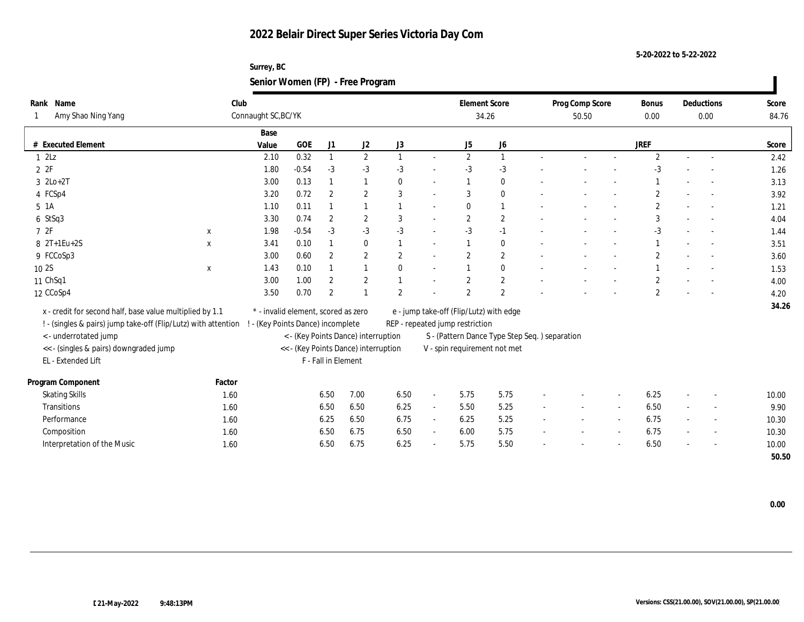**Surrey, BC Senior Women (FP) - Free Program**

| Rank Name                             |                                                                | Club                |                                                                          |                     |                                      |                       |        |  | <b>Element Score</b> |                                                |                          | Prog Comp Score          |        | <b>Bonus</b>          | Deductions               | Score |
|---------------------------------------|----------------------------------------------------------------|---------------------|--------------------------------------------------------------------------|---------------------|--------------------------------------|-----------------------|--------|--|----------------------|------------------------------------------------|--------------------------|--------------------------|--------|-----------------------|--------------------------|-------|
| Amy Shao Ning Yang                    |                                                                | Connaught SC, BC/YK |                                                                          |                     |                                      |                       |        |  | 34.26                |                                                |                          | 50.50                    |        | 0.00                  | 0.00                     | 84.76 |
|                                       |                                                                | Base                |                                                                          |                     |                                      |                       |        |  |                      |                                                |                          |                          |        |                       |                          |       |
| # Executed Element                    |                                                                | Value               | <b>GOE</b>                                                               | J <sub>1</sub>      | J <sub>2</sub>                       | J3                    |        |  | J5                   | J6                                             |                          |                          |        | <b>JREF</b>           |                          | Score |
| 12Lz                                  |                                                                | 2.10                | 0.32                                                                     | $\mathbf{1}$        | $\mathbf{2}$                         | 1                     | $\sim$ |  | $\mathbf{2}$         | $\mathbf{1}$                                   |                          |                          |        | $\mathbf{2}$          | $\sim$                   | 2.42  |
| 2 F                                   |                                                                | 1.80                | $-0.54$                                                                  | $-3$                | $-3$                                 | $-3$                  |        |  | $-3$                 | $-3$                                           |                          |                          |        | $-3$                  |                          | 1.26  |
| $3 \text{ } 2\text{Lo}+2\text{T}$     |                                                                | 3.00                | 0.13                                                                     | $\mathbf{1}$        | 1                                    | $\mathbf{0}$          | $\sim$ |  | $\mathbf{1}$         | $\bf{0}$                                       |                          |                          |        |                       |                          | 3.13  |
| 4 FCSp4                               |                                                                | 3.20                | 0.72                                                                     | $\overline{2}$      | $\boldsymbol{2}$                     | 3                     |        |  | 3                    | $\bf{0}$                                       |                          |                          |        | $\mathbf{2}$          |                          | 3.92  |
| $5 \text{1A}$                         |                                                                | 1.10                | 0.11                                                                     | 1                   | 1                                    | $\overline{1}$        |        |  | $\mathbf{0}$         | $\mathbf{1}$                                   |                          |                          |        | $\overline{c}$        |                          | 1.21  |
| 6 StSq3                               |                                                                | 3.30                | 0.74                                                                     | $\overline{2}$      | $\mathbf{2}$                         | 3                     |        |  | $\mathbf{2}$         | $\mathbf{2}$                                   |                          |                          |        | 3                     |                          | 4.04  |
| 72F                                   | $\boldsymbol{\mathrm{X}}$                                      | 1.98                | $-0.54$                                                                  | $-3$                | $-3$                                 | $-3$                  | $\sim$ |  | $-3$                 | $-1$                                           |                          |                          |        | $-3$                  |                          | 1.44  |
| $8 \t2T+1Eu+2S$                       | X                                                              | 3.41                | 0.10                                                                     | $\mathbf{1}$        | $\bf{0}$                             | $\mathbf{1}$          | $\sim$ |  | $\mathbf{1}$         | $\bf{0}$                                       |                          |                          | $\sim$ |                       |                          | 3.51  |
| 9 FCCoSp3                             |                                                                | 3.00                | 0.60                                                                     | $\overline{2}$      | $\boldsymbol{2}$                     | $\mathbf{2}$          |        |  | $\overline{2}$       | $\mathbf{2}$                                   |                          |                          |        | $\overline{2}$        |                          | 3.60  |
| 10 2S                                 | $\mathbf X$                                                    | 1.43                | 0.10                                                                     | $\mathbf{1}$        | $\mathbf{1}$                         | $\bf{0}$              | $\sim$ |  | $\mathbf{1}$         | $\bf{0}$                                       |                          |                          |        |                       |                          | 1.53  |
| 11 ChSq1                              |                                                                | 3.00                | 1.00                                                                     | $\overline{2}$      | $\mathbf{2}$                         | $\mathbf{1}$          |        |  | $\overline{2}$       | $\boldsymbol{2}$                               |                          |                          |        | $\boldsymbol{2}$      |                          | 4.00  |
| 12 CCoSp4                             |                                                                | 3.50                | 0.70                                                                     | $\overline{2}$      |                                      | $\mathbf{2}^{\prime}$ |        |  | $\mathcal{P}$        | $\mathbf{2}$                                   |                          |                          |        | $\mathbf{2}^{\prime}$ |                          | 4.20  |
|                                       | x - credit for second half, base value multiplied by 1.1       |                     | * - invalid element, scored as zero                                      |                     |                                      |                       |        |  |                      | e - jump take-off (Flip/Lutz) with edge        |                          |                          |        |                       |                          | 34.26 |
|                                       | ! - (singles & pairs) jump take-off (Flip/Lutz) with attention |                     |                                                                          |                     | REP - repeated jump restriction      |                       |        |  |                      |                                                |                          |                          |        |                       |                          |       |
| < - underrotated jump                 |                                                                |                     | ! - (Key Points Dance) incomplete<br>< - (Key Points Dance) interruption |                     |                                      |                       |        |  |                      | S - (Pattern Dance Type Step Seq. ) separation |                          |                          |        |                       |                          |       |
| <<- (singles & pairs) downgraded jump |                                                                |                     |                                                                          |                     | << - (Key Points Dance) interruption |                       |        |  |                      | V - spin requirement not met                   |                          |                          |        |                       |                          |       |
| EL - Extended Lift                    |                                                                |                     |                                                                          | F - Fall in Element |                                      |                       |        |  |                      |                                                |                          |                          |        |                       |                          |       |
|                                       |                                                                |                     |                                                                          |                     |                                      |                       |        |  |                      |                                                |                          |                          |        |                       |                          |       |
| Program Component                     | Factor                                                         |                     |                                                                          |                     |                                      |                       |        |  |                      |                                                |                          |                          |        |                       |                          |       |
| <b>Skating Skills</b>                 | 1.60                                                           |                     |                                                                          | 6.50                | 7.00                                 | 6.50                  | $\sim$ |  | 5.75                 | 5.75                                           |                          |                          |        | 6.25                  |                          | 10.00 |
| <b>Transitions</b>                    | 1.60                                                           |                     |                                                                          | 6.50                | 6.50                                 | 6.25                  | $\sim$ |  | 5.50                 | 5.25                                           |                          | $\sim$                   | $\sim$ | 6.50                  | $\overline{\phantom{a}}$ | 9.90  |
| Performance                           | 1.60                                                           |                     |                                                                          | 6.25                | 6.50                                 | 6.75                  | $\sim$ |  | 6.25                 | 5.25                                           |                          |                          | $\sim$ | 6.75                  | $\overline{\phantom{a}}$ | 10.30 |
| Composition                           | 1.60                                                           |                     |                                                                          | 6.50                | 6.75                                 | 6.50                  | $\sim$ |  | 6.00                 | 5.75                                           | $\overline{\phantom{a}}$ | $\overline{\phantom{a}}$ | $\sim$ | 6.75                  | $\sim$                   | 10.30 |
| Interpretation of the Music           | 1.60                                                           |                     |                                                                          | 6.50                | 6.75                                 | 6.25                  |        |  | 5.75                 | 5.50                                           |                          |                          |        | 6.50                  |                          | 10.00 |
|                                       |                                                                |                     |                                                                          |                     |                                      |                       |        |  |                      |                                                |                          |                          |        |                       |                          | 50.50 |

 **0.00**

**5-20-2022 to 5-22-2022**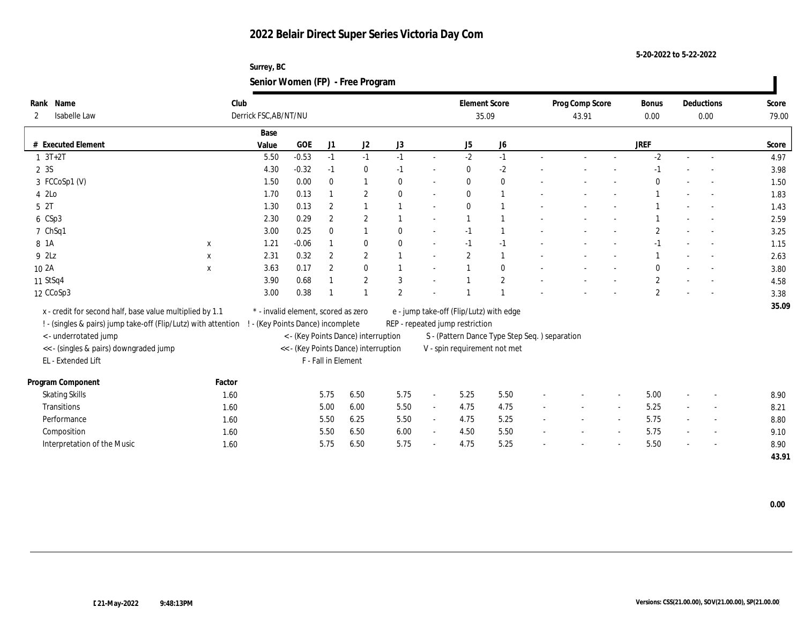**Surrey, BC Senior Women (FP) - Free Program**

| Rank Name                                                      | Club         |                                     |                     |                  |                                      |                |                |                                         | <b>Element Score</b>                           |                          | Prog Comp Score |        | Bonus            |        | Deductions               | Score |
|----------------------------------------------------------------|--------------|-------------------------------------|---------------------|------------------|--------------------------------------|----------------|----------------|-----------------------------------------|------------------------------------------------|--------------------------|-----------------|--------|------------------|--------|--------------------------|-------|
| Isabelle Law<br>$\mathbf{2}$                                   |              | Derrick FSC, AB/NT/NU               |                     |                  |                                      |                |                |                                         | 35.09                                          |                          | 43.91           |        | 0.00             |        | 0.00                     | 79.00 |
|                                                                |              | Base                                |                     |                  |                                      |                |                |                                         |                                                |                          |                 |        |                  |        |                          |       |
| # Executed Element                                             |              | Value                               | GOE                 | J1               | J <sub>2</sub>                       | J3             |                | J5                                      | J <sub>6</sub>                                 |                          |                 |        | <b>JREF</b>      |        |                          | Score |
| $1 \t3T+2T$                                                    |              | 5.50                                | $-0.53$             | $-1$             | $-1$                                 | $-1$           | $\sim$         | $-2$                                    | $-1$                                           |                          |                 |        | $-2$             |        |                          | 4.97  |
| 2 3S                                                           |              | 4.30                                | $-0.32$             | $-1$             | $\bf{0}$                             | $-1$           | $\sim$         | $\bf{0}$                                | $-2$                                           |                          |                 |        |                  |        |                          | 3.98  |
| 3 FCCoSp1 (V)                                                  |              | 1.50                                | 0.00                | $\mathbf{0}$     |                                      | $\mathbf{0}$   | $\overline{a}$ | $\bf{0}$                                | $\bf{0}$                                       |                          |                 |        |                  |        |                          | 1.50  |
| 4 2Lo                                                          |              | 1.70                                | 0.13                |                  | $\overline{2}$                       | $\mathbf{0}$   | $\sim$         | $\mathbf{0}$                            | -1                                             |                          |                 |        |                  |        |                          | 1.83  |
| 5 2T                                                           |              | 1.30                                | 0.13                | $\boldsymbol{2}$ |                                      |                | $\overline{a}$ | $\mathbf{0}$                            | $\overline{1}$                                 |                          |                 |        |                  |        |                          | 1.43  |
| 6 CSp3                                                         |              | 2.30                                | 0.29                | $\boldsymbol{2}$ | $\overline{2}$                       |                | $\sim$         |                                         | $\overline{\mathbf{1}}$                        |                          |                 |        |                  |        |                          | 2.59  |
| 7 ChSq1                                                        |              | 3.00                                | 0.25                | $\bf{0}$         |                                      | $\mathbf{0}$   | $\sim$         | $-1$                                    | $\overline{1}$                                 |                          |                 |        | $\overline{2}$   |        |                          | 3.25  |
| 8 1 A                                                          | $\mathbf{x}$ | 1.21                                | $-0.06$             |                  | $\bf{0}$                             | $\theta$       | $\sim$         | $-1$                                    | $-1$                                           |                          |                 |        | $-1$             |        |                          | 1.15  |
| 9 2Lz                                                          | X            | 2.31                                | 0.32                | $\boldsymbol{2}$ | $\mathbf{2}$                         |                |                | $\overline{2}$                          | -1                                             |                          |                 |        |                  |        |                          | 2.63  |
| 10 2A                                                          | $\mathbf{x}$ | 3.63                                | 0.17                | $\mathbf{2}$     | $\bf{0}$                             |                |                |                                         | $\bf{0}$                                       |                          |                 |        | $\theta$         |        |                          | 3.80  |
| 11 StSq4                                                       |              | 3.90                                | 0.68                |                  | $\overline{2}$                       | 3              |                |                                         | $\mathbf{2}$                                   |                          |                 |        | $\boldsymbol{2}$ |        |                          | 4.58  |
| 12 CCoSp3                                                      |              | 3.00                                | 0.38                |                  |                                      | $\overline{2}$ |                |                                         | $\overline{1}$                                 |                          |                 |        | $\overline{2}$   |        |                          | 3.38  |
| x - credit for second half, base value multiplied by 1.1       |              | * - invalid element, scored as zero |                     |                  |                                      |                |                | e - jump take-off (Flip/Lutz) with edge |                                                |                          |                 |        |                  |        |                          | 35.09 |
| ! - (singles & pairs) jump take-off (Flip/Lutz) with attention |              | ! - (Key Points Dance) incomplete   |                     |                  |                                      |                |                | REP - repeated jump restriction         |                                                |                          |                 |        |                  |        |                          |       |
| <- underrotated jump                                           |              |                                     |                     |                  | < - (Key Points Dance) interruption  |                |                |                                         | S - (Pattern Dance Type Step Seq. ) separation |                          |                 |        |                  |        |                          |       |
| <<- (singles & pairs) downgraded jump                          |              |                                     |                     |                  | << - (Key Points Dance) interruption |                |                |                                         | V - spin requirement not met                   |                          |                 |        |                  |        |                          |       |
| EL - Extended Lift                                             |              |                                     | F - Fall in Element |                  |                                      |                |                |                                         |                                                |                          |                 |        |                  |        |                          |       |
|                                                                |              |                                     |                     |                  |                                      |                |                |                                         |                                                |                          |                 |        |                  |        |                          |       |
| Program Component                                              | Factor       |                                     |                     |                  |                                      |                |                |                                         |                                                |                          |                 |        |                  |        |                          |       |
| <b>Skating Skills</b>                                          | 1.60         |                                     |                     | 5.75             | 6.50                                 | 5.75           | $\sim$         | 5.25                                    | 5.50                                           |                          |                 |        | 5.00             |        |                          | 8.90  |
| Transitions                                                    | 1.60         |                                     |                     | 5.00             | 6.00                                 | 5.50           | $\sim$         | 4.75                                    | 4.75                                           | $\sim$                   | $\sim$          | $\sim$ | 5.25             | $\sim$ | $\overline{\phantom{a}}$ | 8.21  |
| Performance                                                    | 1.60         |                                     |                     | 5.50             | 6.25                                 | 5.50           | $\sim$         | 4.75                                    | 5.25                                           | $\overline{\phantom{a}}$ |                 | $\sim$ | 5.75             |        | $\sim$                   | 8.80  |
| Composition                                                    | 1.60         |                                     |                     | 5.50             | 6.50                                 | 6.00           | $\sim$         | 4.50                                    | 5.50                                           | $\sim$                   |                 | $\sim$ | 5.75             | $\sim$ |                          | 9.10  |
| Interpretation of the Music                                    | 1.60         |                                     |                     | 5.75             | 6.50                                 | 5.75           | $\sim$         | 4.75                                    | 5.25                                           |                          |                 |        | 5.50             |        |                          | 8.90  |
|                                                                |              |                                     |                     |                  |                                      |                |                |                                         |                                                |                          |                 |        |                  |        |                          | 43.91 |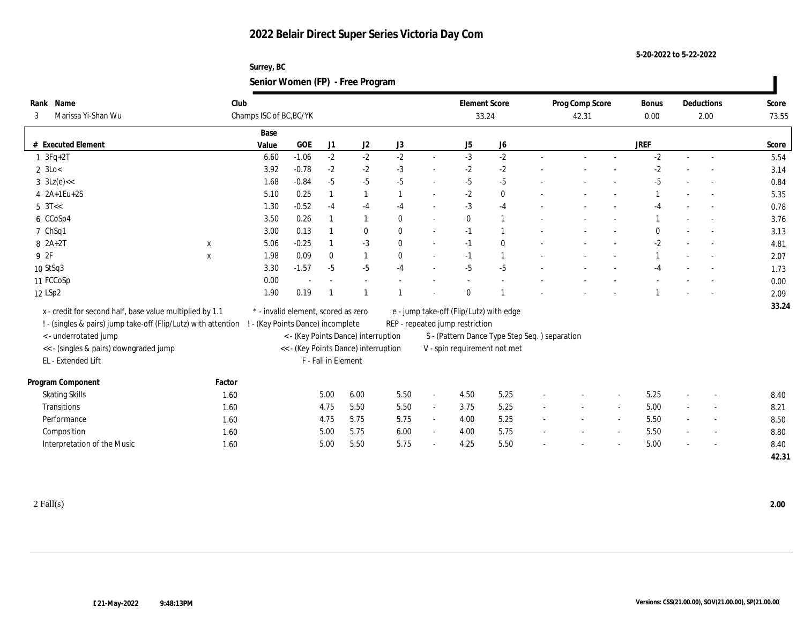**Surrey, BC Senior Women (FP) - Free Program**

| Name<br>Rank                                                   | Club        |                                     |         |                     |                                      |                                                                            |                                               | <b>Element Score</b> |                |                          | Prog Comp Score          |                          | <b>Bonus</b> |        | Deductions               | Score |
|----------------------------------------------------------------|-------------|-------------------------------------|---------|---------------------|--------------------------------------|----------------------------------------------------------------------------|-----------------------------------------------|----------------------|----------------|--------------------------|--------------------------|--------------------------|--------------|--------|--------------------------|-------|
| Marissa Yi-Shan Wu<br>3                                        |             | Champs ISC of BC, BC/YK             |         |                     |                                      |                                                                            |                                               | 33.24                |                |                          | 42.31                    |                          | 0.00         |        | 2.00                     | 73.55 |
|                                                                |             | Base                                |         |                     |                                      |                                                                            |                                               |                      |                |                          |                          |                          |              |        |                          |       |
| # Executed Element                                             |             | Value                               | GOE     | J1                  | J2                                   | J3                                                                         |                                               | J5                   | J <sub>6</sub> |                          |                          |                          | <b>JREF</b>  |        |                          | Score |
| $1 \space 3Fq+2T$                                              |             | 6.60                                | $-1.06$ | $-2$                | $-2$                                 | $-2$                                                                       | $\sim$                                        | $-3$                 | $-2$           |                          |                          |                          | $-2$         |        | $\sim$                   | 5.54  |
| $2 \text{ } 3\text{Lo}$                                        |             | 3.92                                | $-0.78$ | $-2$                | $-2$                                 | $-3$                                                                       | $\sim$                                        | $-2$                 | $-2$           |                          |                          |                          | $-2$         |        |                          | 3.14  |
| $3 \text{ } 3Lz(e) <<$                                         |             | 1.68                                | $-0.84$ | $-5$                | $-5$                                 | $-5$                                                                       | $\sim$                                        | $-5$                 | $-5$           |                          |                          |                          | $-5$         |        |                          | 0.84  |
| 4 2A+1Eu+2S                                                    |             | 5.10                                | 0.25    |                     | $\mathbf{1}$                         |                                                                            | $\sim$                                        | $-2$                 | $\bf{0}$       |                          |                          |                          |              |        |                          | 5.35  |
| $5 \text{ } 3T <$                                              |             | 1.30                                | $-0.52$ | $-4$                | $-4$                                 | $-4$                                                                       | $\sim$                                        | $-3$                 | $-4$           |                          |                          |                          | $-4$         |        |                          | 0.78  |
| 6 CCoSp4                                                       |             | 3.50                                | 0.26    |                     | $\mathbf{1}$                         | $\mathbf{0}$                                                               | $\sim$                                        | $\mathbf{0}$         | $\mathbf{1}$   |                          |                          |                          |              |        |                          | 3.76  |
| 7 ChSq1                                                        |             | 3.00                                | 0.13    |                     | $\bf{0}$                             | $\mathbf{0}$                                                               | $\sim$                                        | $-1$                 | $\mathbf{1}$   |                          |                          |                          | $\bf{0}$     |        |                          | 3.13  |
| $8 \t2A+2T$                                                    | $\mathbf X$ | 5.06                                | $-0.25$ |                     | $-3$                                 | $\mathbf{0}$                                                               | $\sim$                                        | $-1$                 | $\bf{0}$       |                          |                          |                          | $-2$         |        |                          | 4.81  |
| 9 2F                                                           | $\mathbf X$ | 1.98                                | 0.09    | $\mathbf{0}$        | 1                                    | $\mathbf{0}$                                                               | $\sim$                                        | $-1$                 | $\mathbf{1}$   |                          |                          |                          |              |        |                          | 2.07  |
| 10 StSq3                                                       |             | 3.30                                | $-1.57$ | $-5$                | $-5$                                 | $-4$                                                                       |                                               | $-5$                 | $-5$           |                          |                          |                          | $-4$         |        |                          | 1.73  |
| 11 FCCoSp                                                      |             | 0.00                                |         |                     |                                      |                                                                            |                                               |                      |                |                          |                          |                          |              |        |                          | 0.00  |
| 12 LSp2                                                        |             | 1.90                                | 0.19    |                     |                                      |                                                                            |                                               | $\mathbf{0}$         |                |                          |                          |                          |              |        |                          | 2.09  |
| x - credit for second half, base value multiplied by 1.1       |             | * - invalid element, scored as zero |         |                     |                                      |                                                                            |                                               |                      |                |                          |                          |                          |              |        |                          | 33.24 |
| ! - (singles & pairs) jump take-off (Flip/Lutz) with attention |             | ! - (Key Points Dance) incomplete   |         |                     |                                      | e - jump take-off (Flip/Lutz) with edge<br>REP - repeated jump restriction |                                               |                      |                |                          |                          |                          |              |        |                          |       |
| <- underrotated jump                                           |             |                                     |         |                     | < - (Key Points Dance) interruption  |                                                                            | S - (Pattern Dance Type Step Seq.) separation |                      |                |                          |                          |                          |              |        |                          |       |
| << - (singles & pairs) downgraded jump                         |             |                                     |         |                     | << - (Key Points Dance) interruption |                                                                            | V - spin requirement not met                  |                      |                |                          |                          |                          |              |        |                          |       |
| EL - Extended Lift                                             |             |                                     |         | F - Fall in Element |                                      |                                                                            |                                               |                      |                |                          |                          |                          |              |        |                          |       |
|                                                                |             |                                     |         |                     |                                      |                                                                            |                                               |                      |                |                          |                          |                          |              |        |                          |       |
| Program Component                                              | Factor      |                                     |         |                     |                                      |                                                                            |                                               |                      |                |                          |                          |                          |              |        |                          |       |
| <b>Skating Skills</b>                                          | 1.60        |                                     |         | 5.00                | 6.00                                 | 5.50                                                                       | $\sim$                                        | 4.50                 | 5.25           |                          |                          | $\overline{\phantom{a}}$ | 5.25         |        |                          | 8.40  |
| <b>Transitions</b>                                             | 1.60        |                                     |         | 4.75                | 5.50                                 | 5.50                                                                       | $\sim$                                        | 3.75                 | 5.25           | $\overline{\phantom{a}}$ | $\overline{\phantom{a}}$ | $\sim$                   | 5.00         | $\sim$ | $\overline{\phantom{a}}$ | 8.21  |
| Performance                                                    | 1.60        |                                     |         | 4.75                | 5.75                                 | 5.75                                                                       | $\omega$                                      | 4.00                 | 5.25           |                          |                          |                          | 5.50         |        |                          | 8.50  |
| Composition                                                    | 1.60        |                                     |         | 5.00                | 5.75                                 | 6.00                                                                       | $\sim$                                        | 4.00                 | 5.75           | $\sim$                   | $\overline{\phantom{a}}$ | $\overline{\phantom{a}}$ | 5.50         | $\sim$ | $\overline{\phantom{a}}$ | 8.80  |
| Interpretation of the Music                                    | 1.60        |                                     |         | 5.00                | 5.50                                 | 5.75                                                                       | $\sim$                                        | 4.25                 | 5.50           |                          |                          |                          | 5.00         | ÷      |                          | 8.40  |
|                                                                |             |                                     |         |                     |                                      |                                                                            |                                               |                      |                |                          |                          |                          |              |        |                          | 42.31 |
|                                                                |             |                                     |         |                     |                                      |                                                                            |                                               |                      |                |                          |                          |                          |              |        |                          |       |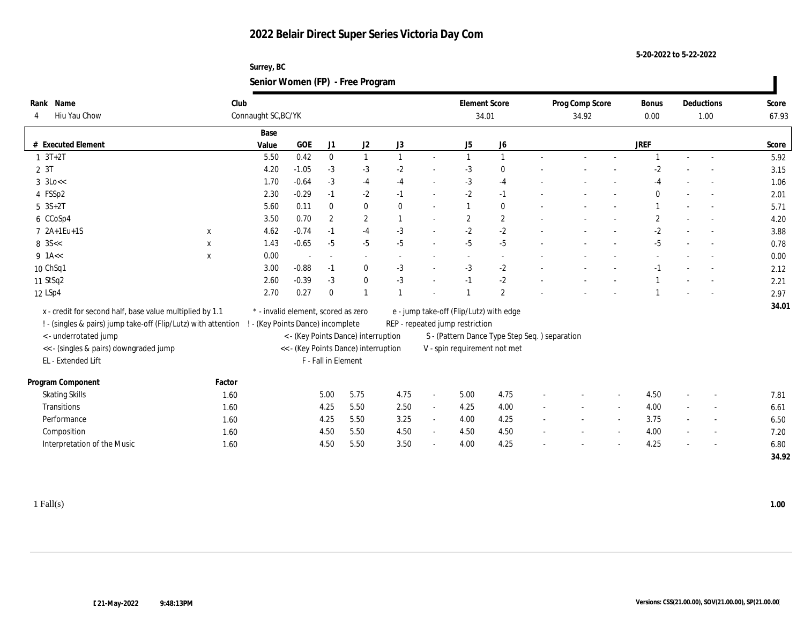**Surrey, BC Senior Women (FP) - Free Program**

| Rank Name                                                      | Club         |                                 |                                     |                          |                                      |                |                | <b>Element Score</b>                                                       |                                                |        | Prog Comp Score |        | <b>Bonus</b> |        | Deductions               | Score |
|----------------------------------------------------------------|--------------|---------------------------------|-------------------------------------|--------------------------|--------------------------------------|----------------|----------------|----------------------------------------------------------------------------|------------------------------------------------|--------|-----------------|--------|--------------|--------|--------------------------|-------|
| Hiu Yau Chow<br>4                                              |              | Connaught SC, BC/YK             |                                     |                          |                                      |                |                | 34.01                                                                      |                                                |        | 34.92           |        | 0.00         |        | 1.00                     | 67.93 |
|                                                                |              | Base                            |                                     |                          |                                      |                |                |                                                                            |                                                |        |                 |        |              |        |                          |       |
| # Executed Element                                             |              | Value                           | GOE                                 | J1                       | J <sub>2</sub>                       | J3             |                | J5                                                                         | J6                                             |        |                 |        | <b>JREF</b>  |        |                          | Score |
| $1 \t3T+2T$                                                    |              | 5.50                            | 0.42                                | $\bf{0}$                 | 1                                    | $\mathbf{1}$   | $\sim$         | $\mathbf{1}$                                                               | $\mathbf{1}$                                   |        |                 |        |              |        |                          | 5.92  |
| 2 3T                                                           |              | 4.20                            | $-1.05$                             | $-3$                     | $-3$                                 | $-2$           | $\sim$         | $-3$                                                                       | $\mathbf{0}$                                   |        |                 |        | $-2$         |        |                          | 3.15  |
| $3 \text{ k}$                                                  |              | 1.70                            | $-0.64$                             | $-3$                     | $-4$                                 | $-4$           | $\sim$         | $-3$                                                                       | $-4$                                           |        |                 |        | $-4$         |        |                          | 1.06  |
| 4 FSSp2                                                        |              | 2.30                            | $-0.29$                             | $-1$                     | $-2$                                 | $-1$           | $\sim$         | $-2$                                                                       | $-1$                                           |        |                 |        | $\mathbf{0}$ |        |                          | 2.01  |
| $5 \text{ } 3S + 2T$                                           |              | 5.60                            | 0.11                                | $\bf{0}$                 | $\bf{0}$                             | $\mathbf{0}$   | $\sim$         |                                                                            | $\bf{0}$                                       |        |                 |        |              |        |                          | 5.71  |
| 6 CCoSp4                                                       |              | 3.50                            | 0.70                                | $\overline{2}$           | $\mathbf{2}$                         | $\overline{1}$ |                | $\mathbf{2}$                                                               | $\boldsymbol{2}$                               |        |                 |        | $\mathbf{2}$ |        |                          | 4.20  |
| 7 2A+1Eu+1S                                                    | $\mathbf x$  | 4.62                            | $-0.74$                             | $-1$                     | $-4$                                 | $-3$           | $\sim$         | $-2$                                                                       | $\mbox{-}2$                                    |        |                 |        | $-2$         |        |                          | 3.88  |
| $8 \, 35 <$                                                    | $\mathbf{x}$ | 1.43                            | $-0.65$                             | $-5$                     | $-5$                                 | $-5$           | $\sim$         | $-5$                                                                       | $-5$                                           |        |                 |        | $-5$         |        | $\sim$                   | 0.78  |
| $9$ 1A <<                                                      | $\mathbf X$  | 0.00                            |                                     | $\overline{\phantom{a}}$ | $\sim$                               |                |                |                                                                            | $\sim$                                         |        |                 |        |              |        |                          | 0.00  |
| 10 ChSq1                                                       |              | 3.00                            | $-0.88$                             | $-1$                     | $\bf{0}$                             | $-3$           |                | $-3$                                                                       | $-2$                                           |        |                 |        | $-1$         |        |                          | 2.12  |
| 11 StSq2                                                       |              | 2.60                            | $-0.39$                             | $-3$                     | $\bf{0}$                             | $-3$           |                | $-1$                                                                       | $-2$                                           |        |                 |        |              |        |                          | 2.21  |
| 12 LSp4                                                        |              | 2.70                            | 0.27                                | $\mathbf{0}$             | $\mathbf{1}$                         | $\overline{1}$ |                | -1                                                                         | $\mathbf{2}$                                   |        |                 |        |              |        |                          | 2.97  |
| x - credit for second half, base value multiplied by 1.1       |              |                                 | * - invalid element, scored as zero |                          |                                      |                |                |                                                                            |                                                |        |                 |        |              |        |                          | 34.01 |
| ! - (singles & pairs) jump take-off (Flip/Lutz) with attention |              | - (Key Points Dance) incomplete |                                     |                          |                                      |                |                | e - jump take-off (Flip/Lutz) with edge<br>REP - repeated jump restriction |                                                |        |                 |        |              |        |                          |       |
| <- underrotated jump                                           |              |                                 |                                     |                          | < - (Key Points Dance) interruption  |                |                |                                                                            | S - (Pattern Dance Type Step Seq. ) separation |        |                 |        |              |        |                          |       |
| << - (singles & pairs) downgraded jump                         |              |                                 |                                     |                          | << - (Key Points Dance) interruption |                |                | V - spin requirement not met                                               |                                                |        |                 |        |              |        |                          |       |
| EL - Extended Lift                                             |              |                                 |                                     | F - Fall in Element      |                                      |                |                |                                                                            |                                                |        |                 |        |              |        |                          |       |
|                                                                |              |                                 |                                     |                          |                                      |                |                |                                                                            |                                                |        |                 |        |              |        |                          |       |
| Program Component                                              | Factor       |                                 |                                     |                          |                                      |                |                |                                                                            |                                                |        |                 |        |              |        |                          |       |
| <b>Skating Skills</b>                                          | 1.60         |                                 |                                     | 5.00                     | 5.75                                 | 4.75           | $\blacksquare$ | 5.00                                                                       | 4.75                                           |        |                 |        | 4.50         |        | $\overline{\phantom{a}}$ | 7.81  |
| Transitions                                                    | 1.60         |                                 |                                     | 4.25                     | 5.50                                 | 2.50           | $\sim$         | 4.25                                                                       | 4.00                                           |        | $\sim$          | $\sim$ | 4.00         |        | $\overline{a}$           | 6.61  |
| Performance                                                    | 1.60         |                                 |                                     | 4.25                     | 5.50                                 | 3.25           | $\sim$         | 4.00                                                                       | 4.25                                           |        |                 | $\sim$ | 3.75         |        | $\overline{a}$           | 6.50  |
| Composition                                                    | 1.60         |                                 |                                     | 4.50                     | 5.50                                 | 4.50           | $\sim$         | 4.50                                                                       | 4.50                                           | $\sim$ | $\sim$          | $\sim$ | 4.00         | $\sim$ | $\overline{\phantom{a}}$ | 7.20  |
| Interpretation of the Music                                    | 1.60         |                                 |                                     | 4.50                     | 5.50                                 | 3.50           | $\sim$         | 4.00                                                                       | 4.25                                           |        |                 | $\sim$ | 4.25         |        | $\sim$                   | 6.80  |
|                                                                |              |                                 |                                     |                          |                                      |                |                |                                                                            |                                                |        |                 |        |              |        |                          | 34.92 |
|                                                                |              |                                 |                                     |                          |                                      |                |                |                                                                            |                                                |        |                 |        |              |        |                          |       |

1 Fall(s) **1.00**

**5-20-2022 to 5-22-2022**